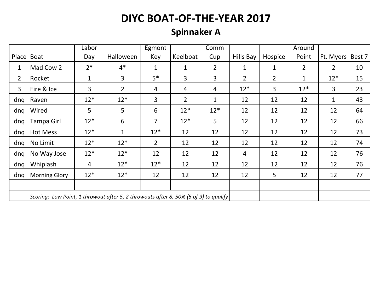# **Spinnaker A**

|                |                                                                                      | Labor          |                | Egmont         |                | Comm           |                |                | <b>Around</b>  |                |        |
|----------------|--------------------------------------------------------------------------------------|----------------|----------------|----------------|----------------|----------------|----------------|----------------|----------------|----------------|--------|
| <b>Place</b>   | Boat                                                                                 | <u>Day</u>     | Halloween      | <u>Key</u>     | Keelboat       | Cup            | Hills Bay      | Hospice        | Point          | Ft. Myers      | Best 7 |
| $\mathbf 1$    | Mad Cow 2                                                                            | $2*$           | $4*$           | $\mathbf{1}$   | $\mathbf{1}$   | $\overline{2}$ | $\mathbf 1$    | $\mathbf 1$    | $\overline{2}$ | $\overline{2}$ | 10     |
| $\overline{2}$ | Rocket                                                                               | 1              | 3              | $5*$           | 3              | 3              | $\overline{2}$ | $2^{\circ}$    | 1              | $12*$          | 15     |
| 3              | Fire & Ice                                                                           | $\overline{3}$ | $\overline{2}$ | 4              | 4              | 4              | $12*$          | 3              | $12*$          | 3              | 23     |
| dnq            | Raven                                                                                | $12*$          | $12*$          | 3              | $\overline{2}$ | 1              | 12             | 12             | 12             | 1              | 43     |
| dnq            | Wired                                                                                | 5              | 5              | 6              | $12*$          | $12*$          | 12             | 12             | 12             | 12             | 64     |
| dng            | <b>Tampa Girl</b>                                                                    | $12*$          | 6              | $\overline{7}$ | $12*$          | 5              | 12             | 12             | 12             | 12             | 66     |
| dnq            | Hot Mess                                                                             | $12*$          | $\mathbf 1$    | $12*$          | 12             | 12             | 12             | 12             | 12             | 12             | 73     |
| dnq            | No Limit                                                                             | $12*$          | $12*$          | $\overline{2}$ | 12             | 12             | 12             | 12             | 12             | 12             | 74     |
| dnq            | No Way Jose                                                                          | $12*$          | $12*$          | 12             | 12             | 12             | $\overline{4}$ | 12             | 12             | 12             | 76     |
| dnq            | Whiplash                                                                             | 4              | $12*$          | $12*$          | 12             | 12             | 12             | 12             | 12             | 12             | 76     |
| dnq            | <b>Morning Glory</b>                                                                 | $12*$          | $12*$          | 12             | 12             | 12             | 12             | 5 <sup>5</sup> | 12             | 12             | 77     |
|                |                                                                                      |                |                |                |                |                |                |                |                |                |        |
|                | Scoring: Low Point, 1 throwout after 5, 2 throwouts after 8, 50% (5 of 9) to qualify |                |                |                |                |                |                |                |                |                |        |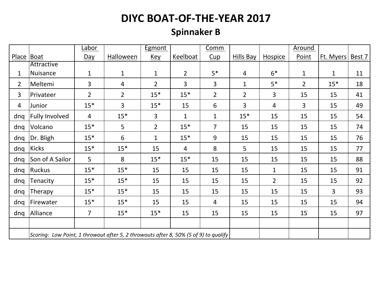# **Spinnaker B**

|                |                                                                                      | <u>Labor</u>   |                  | <b>Egmont</b>  |                 | Comm           |                  |                | <b>Around</b> |           |        |
|----------------|--------------------------------------------------------------------------------------|----------------|------------------|----------------|-----------------|----------------|------------------|----------------|---------------|-----------|--------|
| <b>Place</b>   | Boat                                                                                 | $Day$          | <b>Halloween</b> | <u>Key</u>     | <b>Keelboat</b> | Cup            | <b>Hills Bay</b> | <b>Hospice</b> | Point         | Ft. Myers | Best 7 |
|                | Attractive                                                                           |                |                  |                |                 |                |                  |                |               |           |        |
| 1              | Nuisance                                                                             | $\mathbf{1}$   | $\mathbf{1}$     | $\mathbf{1}$   | $\overline{2}$  | $5*$           | $\overline{4}$   | $6*$           | $\mathbf{1}$  | 1         | 11     |
| $\overline{2}$ | Meltemi                                                                              | 3              | 4                | $\overline{2}$ | $\overline{3}$  | 3              | $\mathbf{1}$     | $5*$           | $2^{\circ}$   | $15*$     | 18     |
| 3              | Privateer                                                                            | $\overline{2}$ | $\overline{2}$   | $15*$          | $15*$           | $\overline{2}$ | $\overline{2}$   | 3              | 15            | 15        | 41     |
| 4              | Junior                                                                               | $15*$          | 3                | $15*$          | 15              | 6              | 3                | 4              | 3             | 15        | 49     |
| dnq            | <b>Fully Involved</b>                                                                | $\overline{4}$ | $15*$            | 3              | $\mathbf{1}$    | $\mathbf 1$    | $15*$            | 15             | 15            | 15        | 54     |
| dnq            | Volcano                                                                              | $15*$          | 5                | $\overline{2}$ | $15*$           | $\overline{7}$ | 15               | 15             | 15            | 15        | 74     |
| dng            | Dr. Bligh                                                                            | $15*$          | 6                | $\mathbf{1}$   | $15*$           | 9              | 15               | 15             | 15            | 15        | 76     |
| dnq            | Kicks                                                                                | $15*$          | $15*$            | 15             | 4               | 8              | 5                | 15             | 15            | 15        | 77     |
| dnq            | Son of A Sailor                                                                      | 5              | 8                | $15*$          | $15*$           | 15             | 15               | 15             | 15            | 15        | 88     |
| dnq            | Ruckus                                                                               | $15*$          | $15*$            | 15             | 15              | 15             | 15               | $\mathbf{1}$   | 15            | 15        | 91     |
| dnq            | Tenacity                                                                             | $15*$          | $15*$            | 15             | 15              | 15             | 15               | $\overline{2}$ | 15            | 15        | 92     |
| dnq            | Therapy                                                                              | $15*$          | $15*$            | 15             | 15              | 15             | 15               | 15             | 15            | 3         | 93     |
| dnq            | Firewater                                                                            | $15*$          | $15*$            | 15             | 15              | 4              | 15               | 15             | 15            | 15        | 94     |
| dnq            | Alliance                                                                             | $\overline{7}$ | $15*$            | $15*$          | 15              | 15             | 15               | 15             | 15            | 15        | 97     |
|                |                                                                                      |                |                  |                |                 |                |                  |                |               |           |        |
|                | Scoring: Low Point, 1 throwout after 5, 2 throwouts after 8, 50% (5 of 9) to qualify |                |                  |                |                 |                |                  |                |               |           |        |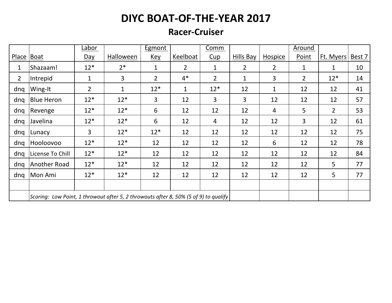#### **Racer-Cruiser**

|                |                                                                                      | Labor          |                | <b>Egmont</b>  |                | Comm           |                |                | <b>Around</b> |                |        |
|----------------|--------------------------------------------------------------------------------------|----------------|----------------|----------------|----------------|----------------|----------------|----------------|---------------|----------------|--------|
| Place          | Boat                                                                                 | <u>Day</u>     | Halloween      | <u>Key</u>     | Keelboat       | Cup            | Hills Bay      | Hospice        | Point         | Ft. Myers      | Best 7 |
| 1              | Shazaam!                                                                             | $12*$          | $2*$           | $\mathbf 1$    | $\overline{2}$ | 1              | $\overline{2}$ | $\overline{2}$ | 1             | 1              | 10     |
| $\overline{2}$ | Intrepid                                                                             | 1              | $\overline{3}$ | $\overline{2}$ | $4*$           | $\overline{2}$ | $\mathbf{1}$   | 3              | $2^{\circ}$   | $12*$          | 14     |
| dng            | Wing-It                                                                              | $\overline{2}$ | $\mathbf{1}$   | $12*$          | 1              | $12*$          | 12             | 1              | 12            | 12             | 41     |
| dnq            | <b>Blue Heron</b>                                                                    | $12*$          | $12*$          | 3              | 12             | 3              | 3              | 12             | 12            | 12             | 57     |
| dng            | Revenge                                                                              | $12*$          | $12*$          | 6              | 12             | 12             | 12             | 4              | 5             | $\overline{2}$ | 53     |
| dnq            | Javelina                                                                             | $12*$          | $12*$          | 6              | 12             | 4              | 12             | 12             | 3             | 12             | 61     |
| dnq            | Lunacy                                                                               | 3              | $12*$          | $12*$          | 12             | 12             | 12             | 12             | 12            | 12             | 75     |
| dnq            | Hooloovoo                                                                            | $12*$          | $12*$          | 12             | 12             | 12             | 12             | 6              | 12            | 12             | 78     |
| dng            | License To Chill                                                                     | $12*$          | $12*$          | 12             | 12             | 12             | 12             | 12             | 12            | 12             | 84     |
| dng            | Another Road                                                                         | $12*$          | $12*$          | 12             | 12             | 12             | 12             | 12             | 12            | 5              | 77     |
| dnq            | Mon Ami                                                                              | $12*$          | $12*$          | 12             | 12             | 12             | 12             | 12             | 12            | 5              | 77     |
|                |                                                                                      |                |                |                |                |                |                |                |               |                |        |
|                | Scoring: Low Point, 1 throwout after 5, 2 throwouts after 8, 50% (5 of 9) to qualify |                |                |                |                |                |                |                |               |                |        |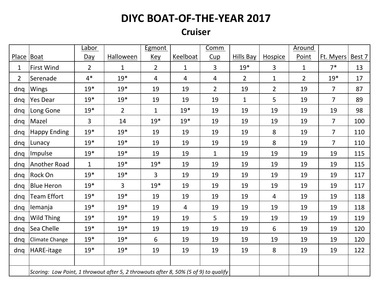#### **Cruiser**

|                |                                                                                      | Labor          |                  | Egmont         |                 | Comm        |                  |                | <b>Around</b>  |                  |     |
|----------------|--------------------------------------------------------------------------------------|----------------|------------------|----------------|-----------------|-------------|------------------|----------------|----------------|------------------|-----|
| Place Boat     |                                                                                      | Day            | <b>Halloween</b> | <u>Key</u>     | <b>Keelboat</b> | Cup         | <b>Hills Bay</b> | <b>Hospice</b> | Point          | Ft. Myers Best 7 |     |
| 1              | <b>First Wind</b>                                                                    | $\overline{2}$ | 1                | $\overline{2}$ | 1               | 3           | $19*$            | $\overline{3}$ | $\mathbf{1}$   | $7*$             | 13  |
| $\overline{2}$ | Serenade                                                                             | $4*$           | $19*$            | 4              | 4               | 4           | $\overline{2}$   | $\mathbf{1}$   | $\overline{2}$ | $19*$            | 17  |
| dnq            | <b>Wings</b>                                                                         | $19*$          | $19*$            | 19             | 19              | 2           | 19               | $\overline{2}$ | 19             | $\overline{7}$   | 87  |
| dnq            | Yes Dear                                                                             | $19*$          | $19*$            | 19             | 19              | 19          | $\mathbf{1}$     | 5              | 19             | $\overline{7}$   | 89  |
| dnq            | Long Gone                                                                            | $19*$          | $\overline{2}$   | 1              | $19*$           | 19          | 19               | 19             | 19             | 19               | 98  |
| dnq            | Mazel                                                                                | 3              | 14               | $19*$          | $19*$           | 19          | 19               | 19             | 19             | $\overline{7}$   | 100 |
| dng            | <b>Happy Ending</b>                                                                  | $19*$          | $19*$            | 19             | 19              | 19          | 19               | 8              | 19             | $\overline{7}$   | 110 |
| dnq            | Lunacy                                                                               | $19*$          | $19*$            | 19             | 19              | 19          | 19               | 8              | 19             | $\overline{7}$   | 110 |
| dnq            | Impulse                                                                              | $19*$          | $19*$            | 19             | 19              | $\mathbf 1$ | 19               | 19             | 19             | 19               | 115 |
| dnq            | Another Road                                                                         | $\mathbf{1}$   | $19*$            | $19*$          | 19              | 19          | 19               | 19             | 19             | 19               | 115 |
| dng            | Rock On                                                                              | $19*$          | $19*$            | 3              | 19              | 19          | 19               | 19             | 19             | 19               | 117 |
| dnq            | <b>Blue Heron</b>                                                                    | $19*$          | 3                | $19*$          | 19              | 19          | 19               | 19             | 19             | 19               | 117 |
| dnq            | <b>Team Effort</b>                                                                   | $19*$          | $19*$            | 19             | 19              | 19          | 19               | $\overline{4}$ | 19             | 19               | 118 |
| dng            | lemanja                                                                              | $19*$          | $19*$            | 19             | 4               | 19          | 19               | 19             | 19             | 19               | 118 |
| dnq            | Wild Thing                                                                           | $19*$          | $19*$            | 19             | 19              | 5           | 19               | 19             | 19             | 19               | 119 |
| dnq            | Sea Chelle                                                                           | $19*$          | $19*$            | 19             | 19              | 19          | 19               | 6              | 19             | 19               | 120 |
| dnq            | Climate Change                                                                       | $19*$          | $19*$            | 6              | 19              | 19          | 19               | 19             | 19             | 19               | 120 |
| dnq            | HARE-itage                                                                           | $19*$          | $19*$            | 19             | 19              | 19          | 19               | 8              | 19             | 19               | 122 |
|                |                                                                                      |                |                  |                |                 |             |                  |                |                |                  |     |
|                | Scoring: Low Point, 1 throwout after 5, 2 throwouts after 8, 50% (5 of 9) to qualify |                |                  |                |                 |             |                  |                |                |                  |     |